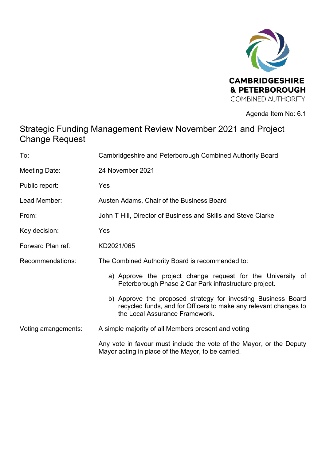

Agenda Item No: 6.1

## Strategic Funding Management Review November 2021 and Project Change Request

| To:                     | Cambridgeshire and Peterborough Combined Authority Board                                                                                                            |
|-------------------------|---------------------------------------------------------------------------------------------------------------------------------------------------------------------|
| Meeting Date:           | 24 November 2021                                                                                                                                                    |
| Public report:          | Yes                                                                                                                                                                 |
| Lead Member:            | Austen Adams, Chair of the Business Board                                                                                                                           |
| From:                   | John T Hill, Director of Business and Skills and Steve Clarke                                                                                                       |
| Key decision:           | Yes                                                                                                                                                                 |
| Forward Plan ref:       | KD2021/065                                                                                                                                                          |
| <b>Recommendations:</b> | The Combined Authority Board is recommended to:                                                                                                                     |
|                         | a) Approve the project change request for the University of<br>Peterborough Phase 2 Car Park infrastructure project.                                                |
|                         | b) Approve the proposed strategy for investing Business Board<br>recycled funds, and for Officers to make any relevant changes to<br>the Local Assurance Framework. |
| Voting arrangements:    | A simple majority of all Members present and voting                                                                                                                 |
|                         | Any vote in favour must include the vote of the Mayor, or the Deputy<br>Mayor acting in place of the Mayor, to be carried.                                          |